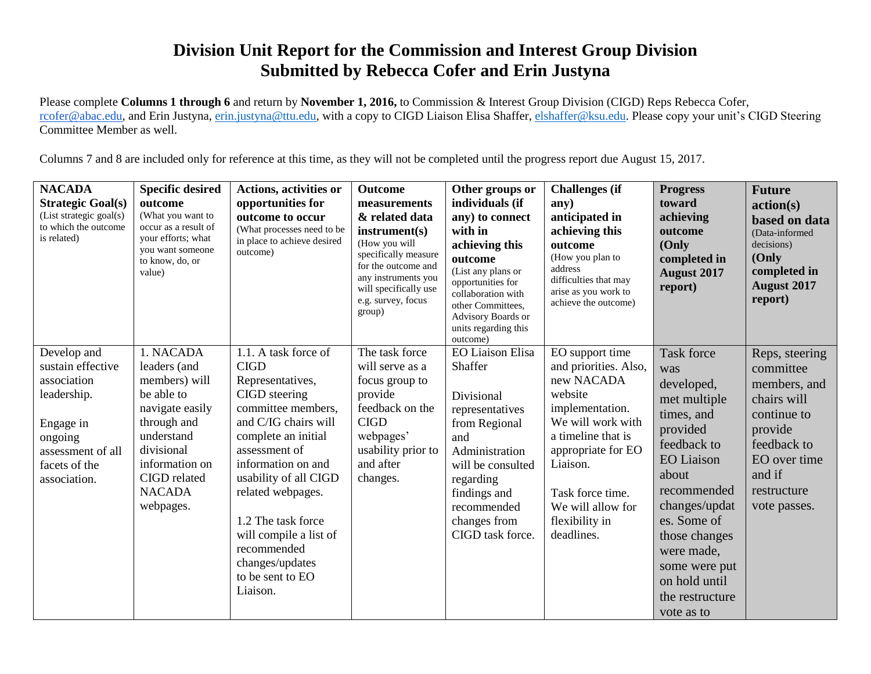## **Division Unit Report for the Commission and Interest Group Division Submitted by Rebecca Cofer and Erin Justyna**

Please complete **Columns 1 through 6** and return by **November 1, 2016,** to Commission & Interest Group Division (CIGD) Reps Rebecca Cofer, [rcofer@abac.edu,](mailto:rcofer@abac.edu) and Erin Justyna, [erin.justyna@ttu.edu,](mailto:erin.justyna@ttu.edu) with a copy to CIGD Liaison Elisa Shaffer, [elshaffer@ksu.edu.](mailto:elshaffer@ksu.edu) Please copy your unit's CIGD Steering Committee Member as well.

Columns 7 and 8 are included only for reference at this time, as they will not be completed until the progress report due August 15, 2017.

| <b>NACADA</b><br><b>Strategic Goal(s)</b><br>(List strategic goal(s)<br>to which the outcome<br>is related)                                  | <b>Specific desired</b><br>outcome<br>(What you want to<br>occur as a result of<br>your efforts; what<br>you want someone<br>to know, do, or<br>value)                                 | <b>Actions, activities or</b><br>opportunities for<br>outcome to occur<br>(What processes need to be<br>in place to achieve desired<br>outcome)                                                                                                                                                                                                      | <b>Outcome</b><br>measurements<br>& related data<br>instrument(s)<br>(How you will<br>specifically measure<br>for the outcome and<br>any instruments you<br>will specifically use<br>e.g. survey, focus<br>group) | Other groups or<br>individuals (if<br>any) to connect<br>with in<br>achieving this<br>outcome<br>(List any plans or<br>opportunities for<br>collaboration with<br>other Committees.<br>Advisory Boards or<br>units regarding this<br>outcome) | <b>Challenges</b> (if<br>any)<br>anticipated in<br>achieving this<br>outcome<br>(How you plan to<br>address<br>difficulties that may<br>arise as you work to<br>achieve the outcome)                                                       | <b>Progress</b><br>toward<br>achieving<br>outcome<br>(Only<br>completed in<br><b>August 2017</b><br>report)                                                                                                                                                                    | <b>Future</b><br>action(s)<br>based on data<br>(Data-informed<br>decisions)<br>(Only<br>completed in<br><b>August 2017</b><br>report)                        |
|----------------------------------------------------------------------------------------------------------------------------------------------|----------------------------------------------------------------------------------------------------------------------------------------------------------------------------------------|------------------------------------------------------------------------------------------------------------------------------------------------------------------------------------------------------------------------------------------------------------------------------------------------------------------------------------------------------|-------------------------------------------------------------------------------------------------------------------------------------------------------------------------------------------------------------------|-----------------------------------------------------------------------------------------------------------------------------------------------------------------------------------------------------------------------------------------------|--------------------------------------------------------------------------------------------------------------------------------------------------------------------------------------------------------------------------------------------|--------------------------------------------------------------------------------------------------------------------------------------------------------------------------------------------------------------------------------------------------------------------------------|--------------------------------------------------------------------------------------------------------------------------------------------------------------|
| Develop and<br>sustain effective<br>association<br>leadership.<br>Engage in<br>ongoing<br>assessment of all<br>facets of the<br>association. | 1. NACADA<br>leaders (and<br>members) will<br>be able to<br>navigate easily<br>through and<br>understand<br>divisional<br>information on<br>CIGD related<br><b>NACADA</b><br>webpages. | 1.1. A task force of<br><b>CIGD</b><br>Representatives,<br>CIGD steering<br>committee members,<br>and C/IG chairs will<br>complete an initial<br>assessment of<br>information on and<br>usability of all CIGD<br>related webpages.<br>1.2 The task force<br>will compile a list of<br>recommended<br>changes/updates<br>to be sent to EO<br>Liaison. | The task force<br>will serve as a<br>focus group to<br>provide<br>feedback on the<br><b>CIGD</b><br>webpages'<br>usability prior to<br>and after<br>changes.                                                      | <b>EO Liaison Elisa</b><br>Shaffer<br>Divisional<br>representatives<br>from Regional<br>and<br>Administration<br>will be consulted<br>regarding<br>findings and<br>recommended<br>changes from<br>CIGD task force.                            | EO support time<br>and priorities. Also,<br>new NACADA<br>website<br>implementation.<br>We will work with<br>a timeline that is<br>appropriate for EO<br>Liaison.<br>Task force time.<br>We will allow for<br>flexibility in<br>deadlines. | <b>Task force</b><br>was<br>developed,<br>met multiple<br>times, and<br>provided<br>feedback to<br><b>EO</b> Liaison<br>about<br>recommended<br>changes/updat<br>es. Some of<br>those changes<br>were made,<br>some were put<br>on hold until<br>the restructure<br>vote as to | Reps, steering<br>committee<br>members, and<br>chairs will<br>continue to<br>provide<br>feedback to<br>EO over time<br>and if<br>restructure<br>vote passes. |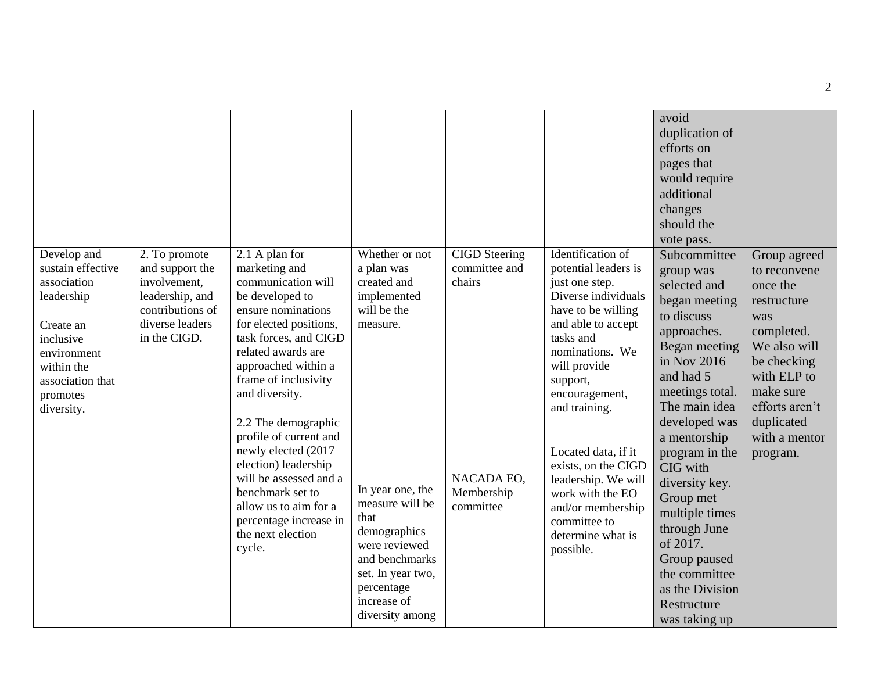| Develop and<br>sustain effective<br>association<br>leadership<br>Create an<br>inclusive<br>environment<br>within the<br>association that<br>promotes<br>diversity. | 2. To promote<br>and support the<br>involvement,<br>leadership, and<br>contributions of<br>diverse leaders<br>in the CIGD. | 2.1 A plan for<br>marketing and<br>communication will<br>be developed to<br>ensure nominations<br>for elected positions,<br>task forces, and CIGD<br>related awards are<br>approached within a<br>frame of inclusivity<br>and diversity.<br>2.2 The demographic<br>profile of current and<br>newly elected (2017<br>election) leadership<br>will be assessed and a<br>benchmark set to<br>allow us to aim for a<br>percentage increase in<br>the next election<br>cycle. | Whether or not<br>a plan was<br>created and<br>implemented<br>will be the<br>measure.<br>In year one, the<br>measure will be<br>that<br>demographics<br>were reviewed<br>and benchmarks<br>set. In year two,<br>percentage<br>increase of<br>diversity among | <b>CIGD</b> Steering<br>committee and<br>chairs<br>NACADA EO,<br>Membership<br>committee | Identification of<br>potential leaders is<br>just one step.<br>Diverse individuals<br>have to be willing<br>and able to accept<br>tasks and<br>nominations. We<br>will provide<br>support,<br>encouragement,<br>and training.<br>Located data, if it<br>exists, on the CIGD<br>leadership. We will<br>work with the EO<br>and/or membership<br>committee to<br>determine what is<br>possible. | avoid<br>duplication of<br>efforts on<br>pages that<br>would require<br>additional<br>changes<br>should the<br>vote pass.<br>Subcommittee<br>group was<br>selected and<br>began meeting<br>to discuss<br>approaches.<br>Began meeting<br>in Nov 2016<br>and had 5<br>meetings total.<br>The main idea<br>developed was<br>a mentorship<br>program in the<br>CIG with<br>diversity key.<br>Group met<br>multiple times<br>through June<br>of 2017.<br>Group paused<br>the committee<br>as the Division<br>Restructure<br>was taking up | Group agreed<br>to reconvene<br>once the<br>restructure<br>was<br>completed.<br>We also will<br>be checking<br>with ELP to<br>make sure<br>efforts aren't<br>duplicated<br>with a mentor<br>program. |
|--------------------------------------------------------------------------------------------------------------------------------------------------------------------|----------------------------------------------------------------------------------------------------------------------------|--------------------------------------------------------------------------------------------------------------------------------------------------------------------------------------------------------------------------------------------------------------------------------------------------------------------------------------------------------------------------------------------------------------------------------------------------------------------------|--------------------------------------------------------------------------------------------------------------------------------------------------------------------------------------------------------------------------------------------------------------|------------------------------------------------------------------------------------------|-----------------------------------------------------------------------------------------------------------------------------------------------------------------------------------------------------------------------------------------------------------------------------------------------------------------------------------------------------------------------------------------------|---------------------------------------------------------------------------------------------------------------------------------------------------------------------------------------------------------------------------------------------------------------------------------------------------------------------------------------------------------------------------------------------------------------------------------------------------------------------------------------------------------------------------------------|------------------------------------------------------------------------------------------------------------------------------------------------------------------------------------------------------|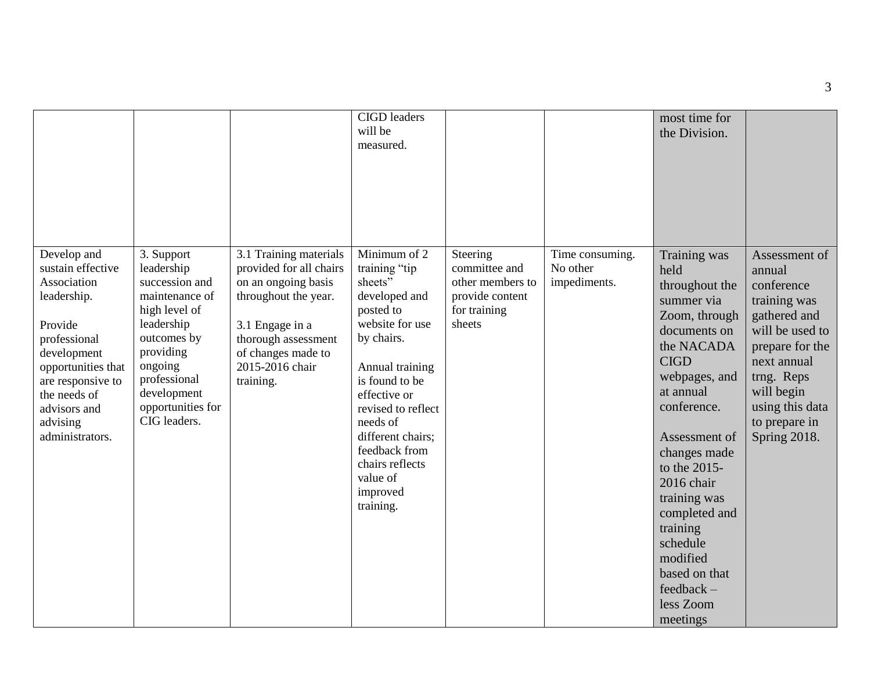|                                                                                                                                                                                                                    |                                                                                                                                                                                                        |                                                                                                                                                                                                  | <b>CIGD</b> leaders<br>will be<br>measured.                                                                                                                                                                                                                                                  |                                                                                            |                                             | most time for<br>the Division.                                                                                                                                                                                                                                                                                                                                |                                                                                                                                                                                                            |
|--------------------------------------------------------------------------------------------------------------------------------------------------------------------------------------------------------------------|--------------------------------------------------------------------------------------------------------------------------------------------------------------------------------------------------------|--------------------------------------------------------------------------------------------------------------------------------------------------------------------------------------------------|----------------------------------------------------------------------------------------------------------------------------------------------------------------------------------------------------------------------------------------------------------------------------------------------|--------------------------------------------------------------------------------------------|---------------------------------------------|---------------------------------------------------------------------------------------------------------------------------------------------------------------------------------------------------------------------------------------------------------------------------------------------------------------------------------------------------------------|------------------------------------------------------------------------------------------------------------------------------------------------------------------------------------------------------------|
| Develop and<br>sustain effective<br>Association<br>leadership.<br>Provide<br>professional<br>development<br>opportunities that<br>are responsive to<br>the needs of<br>advisors and<br>advising<br>administrators. | 3. Support<br>leadership<br>succession and<br>maintenance of<br>high level of<br>leadership<br>outcomes by<br>providing<br>ongoing<br>professional<br>development<br>opportunities for<br>CIG leaders. | 3.1 Training materials<br>provided for all chairs<br>on an ongoing basis<br>throughout the year.<br>3.1 Engage in a<br>thorough assessment<br>of changes made to<br>2015-2016 chair<br>training. | Minimum of 2<br>training "tip<br>sheets"<br>developed and<br>posted to<br>website for use<br>by chairs.<br>Annual training<br>is found to be<br>effective or<br>revised to reflect<br>needs of<br>different chairs;<br>feedback from<br>chairs reflects<br>value of<br>improved<br>training. | Steering<br>committee and<br>other members to<br>provide content<br>for training<br>sheets | Time consuming.<br>No other<br>impediments. | Training was<br>held<br>throughout the<br>summer via<br>Zoom, through<br>documents on<br>the NACADA<br><b>CIGD</b><br>webpages, and<br>at annual<br>conference.<br>Assessment of<br>changes made<br>to the 2015-<br>2016 chair<br>training was<br>completed and<br>training<br>schedule<br>modified<br>based on that<br>$feedback -$<br>less Zoom<br>meetings | Assessment of<br>annual<br>conference<br>training was<br>gathered and<br>will be used to<br>prepare for the<br>next annual<br>trng. Reps<br>will begin<br>using this data<br>to prepare in<br>Spring 2018. |